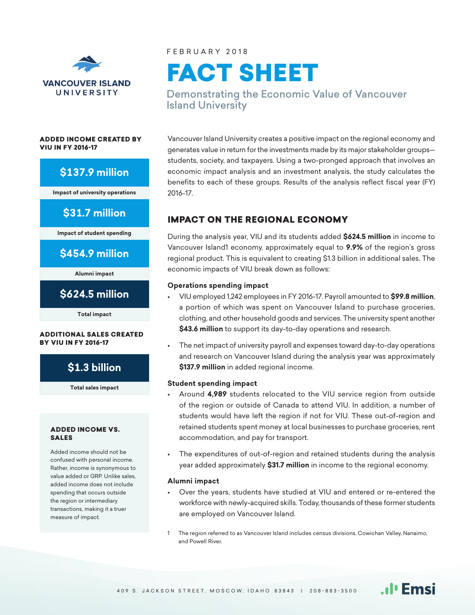

### ADDED INCOME CREATED BY VIU IN FY 2016-17

## **\$137.9 million**

**Impact of university operations**

**\$31.7 million**

**Impact of student spending**

**\$454.9 million**

**Alumni impact**

**\$624.5 million**

**Total impact**

#### ADDITIONAL SALES CREATED BY VIU IN FY 2016-17

## **\$1.3 billion**

**Total sales impact**

#### ADDED INCOME VS. SALES

Added income should not be confused with personal income. Rather, income is synonymous to value added or GRP. Unlike sales, added income does not include spending that occurs outside the region or intermediary transactions, making it a truer measure of impact.

FEBRUARY 2018



Demonstrating the Economic Value of Vancouver Island University

Vancouver Island University creates a positive impact on the regional economy and generates value in return for the investments made by its major stakeholder groups students, society, and taxpayers. Using a two-pronged approach that involves an economic impact analysis and an investment analysis, the study calculates the benefits to each of these groups. Results of the analysis reflect fiscal year (FY) 2016-17.

## IMPACT ON THE REGIONAL ECONOMY

During the analysis year, VIU and its students added **\$624.5 million** in income to Vancouver Island1 economy, approximately equal to **9.9%** of the region's gross regional product. This is equivalent to creating \$1.3 billion in additional sales. The economic impacts of VIU break down as follows:

## **Operations spending impact**

- VIU employed 1,242 employees in FY 2016-17. Payroll amounted to **\$99.8 million**, a portion of which was spent on Vancouver Island to purchase groceries, clothing, and other household goods and services. The university spent another **\$43.6 million** to support its day-to-day operations and research.
- The net impact of university payroll and expenses toward day-to-day operations and research on Vancouver Island during the analysis year was approximately **\$137.9 million** in added regional income.

## **Student spending impact**

- Around **4,989** students relocated to the VIU service region from outside of the region or outside of Canada to attend VIU. In addition, a number of students would have left the region if not for VIU. These out-of-region and retained students spent money at local businesses to purchase groceries, rent accommodation, and pay for transport.
- The expenditures of out-of-region and retained students during the analysis year added approximately **\$31.7 million** in income to the regional economy.

## **Alumni impact**

- Over the years, students have studied at VIU and entered or re-entered the workforce with newly-acquired skills. Today, thousands of these former students are employed on Vancouver Island.
- 1 The region referred to as Vancouver Island includes census divisions, Cowichan Valley, Nanaimo, and Powell River.

**Al**<sup>t</sup> Emsi